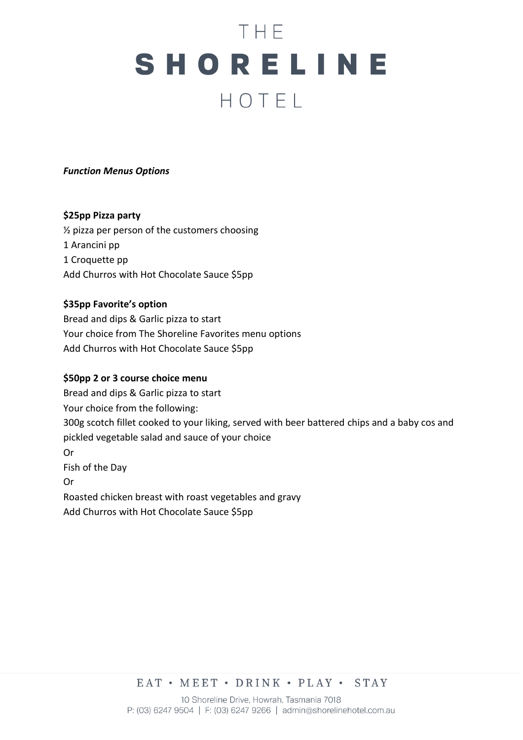# **THE** SHORELINE HOTEL

#### *Function Menus Options*

#### **\$25pp Pizza party**

½ pizza per person of the customers choosing 1 Arancini pp 1 Croquette pp Add Churros with Hot Chocolate Sauce \$5pp

## **\$35pp Favorite's option**

Bread and dips & Garlic pizza to start Your choice from The Shoreline Favorites menu options Add Churros with Hot Chocolate Sauce \$5pp

## **\$50pp 2 or 3 course choice menu**

Bread and dips & Garlic pizza to start Your choice from the following: 300g scotch fillet cooked to your liking, served with beer battered chips and a baby cos and pickled vegetable salad and sauce of your choice Or Fish of the Day Or Roasted chicken breast with roast vegetables and gravy Add Churros with Hot Chocolate Sauce \$5pp

EAT • MEET • DRINK • PLAY • STAY

10 Shoreline Drive, Howrah, Tasmania 7018 P: (03) 6247 9504 | F: (03) 6247 9266 | admin@shorelinehotel.com.au